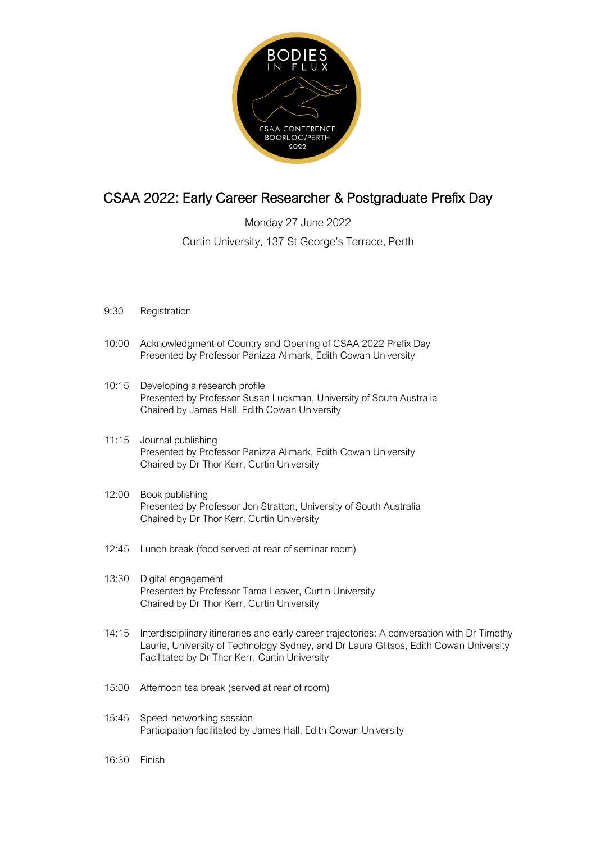

## CSAA 2022: Early Career Researcher & Postgraduate Prefix Day

Monday 27 June 2022 Curtin University, 137 St George's Terrace, Perth

- 9:30 Registration
- 10:00 Acknowledgment of Country and Opening of CSAA 2022 Prefix Day Presented by Professor Panizza Allmark, Edith Cowan University
- 10:15 Developing a research profile Presented by Professor Susan Luckman, University of South Australia Chaired by James Hall, Edith Cowan University
- 11:15 Journal publishing Presented by Professor Panizza Allmark, Edith Cowan University Chaired by Dr Thor Kerr, Curtin University
- 12:00 Book publishing Presented by Professor Jon Stratton, University of South Australia Chaired by Dr Thor Kerr, Curtin University
- 12:45 Lunch break (food served at rear of seminar room)
- 13:30 Digital engagement Presented by Professor Tama Leaver, Curtin University Chaired by Dr Thor Kerr, Curtin University
- 14:15 Interdisciplinary itineraries and early career trajectories: A conversation with Dr Timothy Laurie, University of Technology Sydney, and Dr Laura Glitsos, Edith Cowan University Facilitated by Dr Thor Kerr, Curtin University
- 15:00 Afternoon tea break (served at rear of room)
- 15:45 Speed-networking session Participation facilitated by James Hall, Edith Cowan University
- 16:30 Finish